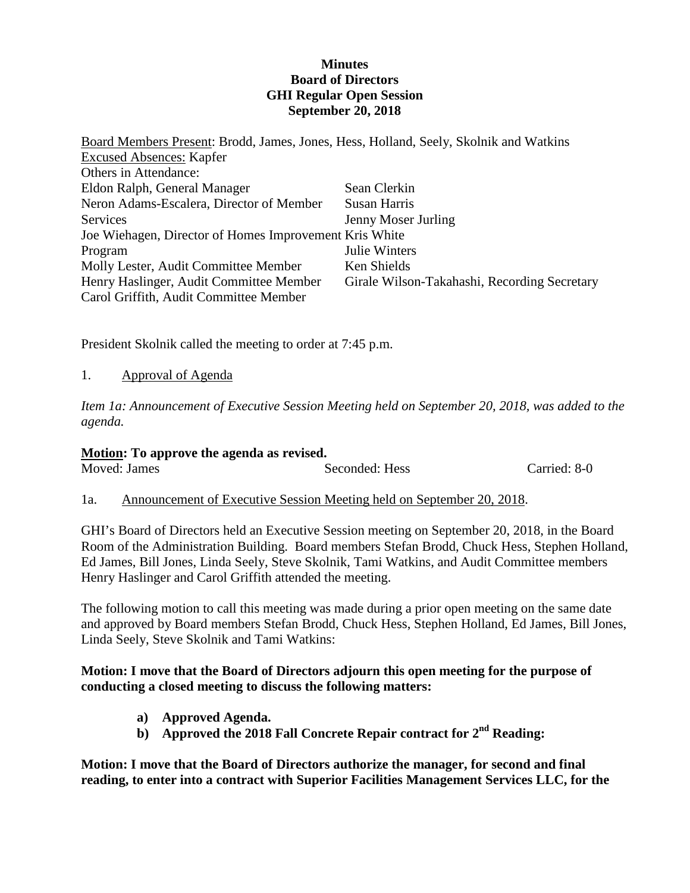## **Minutes Board of Directors GHI Regular Open Session September 20, 2018**

Board Members Present: Brodd, James, Jones, Hess, Holland, Seely, Skolnik and Watkins Excused Absences: Kapfer Others in Attendance: Eldon Ralph, General Manager Neron Adams-Escalera, Director of Member **Services** Joe Wiehagen, Director of Homes Improvement Kris White Program Molly Lester, Audit Committee Member Henry Haslinger, Audit Committee Member Carol Griffith, Audit Committee Member Sean Clerkin Susan Harris Jenny Moser Jurling Julie Winters Ken Shields Girale Wilson-Takahashi, Recording Secretary

President Skolnik called the meeting to order at 7:45 p.m.

# 1. Approval of Agenda

*Item 1a: Announcement of Executive Session Meeting held on September 20, 2018, was added to the agenda.*

#### **Motion: To approve the agenda as revised.**

| Moved: James | Seconded: Hess | Carried: 8-0 |
|--------------|----------------|--------------|
|              |                |              |

#### 1a. Announcement of Executive Session Meeting held on September 20, 2018.

GHI's Board of Directors held an Executive Session meeting on September 20, 2018, in the Board Room of the Administration Building. Board members Stefan Brodd, Chuck Hess, Stephen Holland, Ed James, Bill Jones, Linda Seely, Steve Skolnik, Tami Watkins, and Audit Committee members Henry Haslinger and Carol Griffith attended the meeting.

The following motion to call this meeting was made during a prior open meeting on the same date and approved by Board members Stefan Brodd, Chuck Hess, Stephen Holland, Ed James, Bill Jones, Linda Seely, Steve Skolnik and Tami Watkins:

## **Motion: I move that the Board of Directors adjourn this open meeting for the purpose of conducting a closed meeting to discuss the following matters:**

- **a) Approved Agenda.**
- **b) Approved the 2018 Fall Concrete Repair contract for 2nd Reading:**

**Motion: I move that the Board of Directors authorize the manager, for second and final reading, to enter into a contract with Superior Facilities Management Services LLC, for the**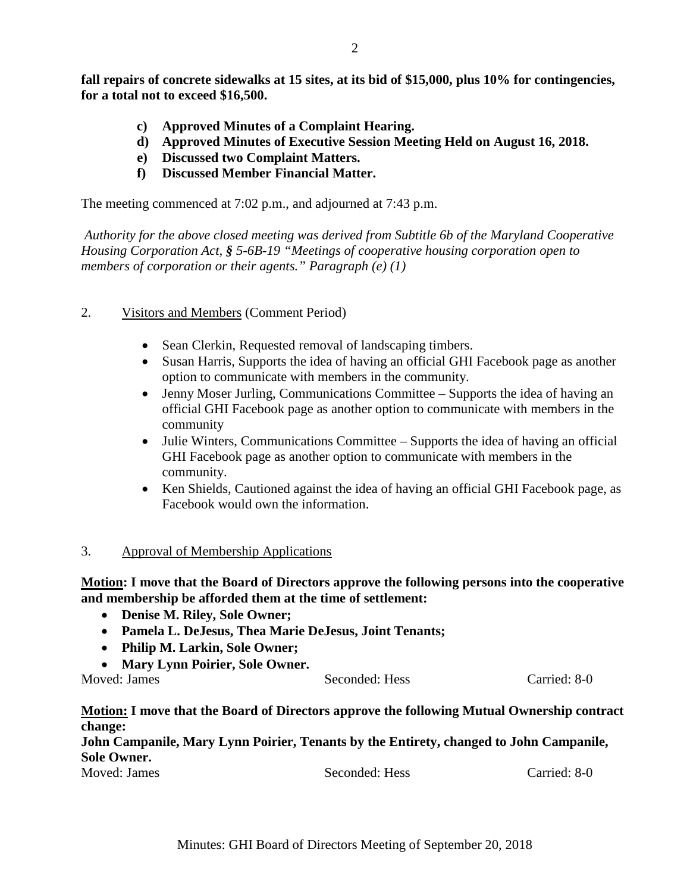**fall repairs of concrete sidewalks at 15 sites, at its bid of \$15,000, plus 10% for contingencies, for a total not to exceed \$16,500.**

- **c) Approved Minutes of a Complaint Hearing.**
- **d) Approved Minutes of Executive Session Meeting Held on August 16, 2018.**
- **e) Discussed two Complaint Matters.**
- **f) Discussed Member Financial Matter.**

The meeting commenced at 7:02 p.m., and adjourned at 7:43 p.m.

*Authority for the above closed meeting was derived from Subtitle 6b of the Maryland Cooperative Housing Corporation Act, § 5-6B-19 "Meetings of cooperative housing corporation open to members of corporation or their agents." Paragraph (e) (1)*

- 2. Visitors and Members (Comment Period)
	- Sean Clerkin, Requested removal of landscaping timbers.
	- Susan Harris, Supports the idea of having an official GHI Facebook page as another option to communicate with members in the community.
	- Jenny Moser Jurling, Communications Committee Supports the idea of having an official GHI Facebook page as another option to communicate with members in the community
	- Julie Winters, Communications Committee Supports the idea of having an official GHI Facebook page as another option to communicate with members in the community.
	- Ken Shields, Cautioned against the idea of having an official GHI Facebook page, as Facebook would own the information.

#### 3. Approval of Membership Applications

## **Motion: I move that the Board of Directors approve the following persons into the cooperative and membership be afforded them at the time of settlement:**

- **Denise M. Riley, Sole Owner;**
- **Pamela L. DeJesus, Thea Marie DeJesus, Joint Tenants;**
- **Philip M. Larkin, Sole Owner;**
- **Mary Lynn Poirier, Sole Owner.**

Moved: James Seconded: Hess Carried: 8-0

#### **Motion: I move that the Board of Directors approve the following Mutual Ownership contract change:**

**John Campanile, Mary Lynn Poirier, Tenants by the Entirety, changed to John Campanile, Sole Owner.** Moved: James Seconded: Hess Carried: 8-0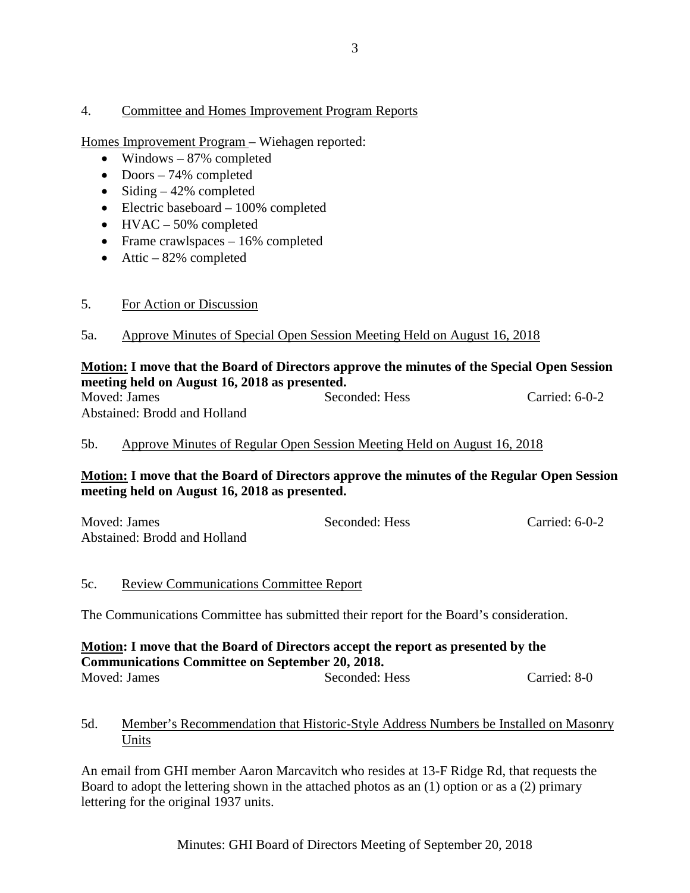## 4. Committee and Homes Improvement Program Reports

Homes Improvement Program – Wiehagen reported:

- Windows 87% completed
- Doors 74% completed
- Siding  $-42%$  completed
- Electric baseboard 100% completed
- HVAC 50% completed
- Frame crawlspaces 16% completed
- Attic  $-82%$  completed
- 5. For Action or Discussion
- 5a. Approve Minutes of Special Open Session Meeting Held on August 16, 2018

## **Motion: I move that the Board of Directors approve the minutes of the Special Open Session meeting held on August 16, 2018 as presented.**

| Moved: James                 | Seconded: Hess | Carried: $6-0-2$ |
|------------------------------|----------------|------------------|
| Abstained: Brodd and Holland |                |                  |

## 5b. Approve Minutes of Regular Open Session Meeting Held on August 16, 2018

## **Motion: I move that the Board of Directors approve the minutes of the Regular Open Session meeting held on August 16, 2018 as presented.**

| Moved: James                 | Seconded: Hess | Carried: $6-0-2$ |
|------------------------------|----------------|------------------|
| Abstained: Brodd and Holland |                |                  |

#### 5c. Review Communications Committee Report

The Communications Committee has submitted their report for the Board's consideration.

#### **Motion: I move that the Board of Directors accept the report as presented by the Communications Committee on September 20, 2018.**<br>Moved: James Seconded: 1 Seconded: Hess Carried: 8-0

## 5d. Member's Recommendation that Historic-Style Address Numbers be Installed on Masonry Units

An email from GHI member Aaron Marcavitch who resides at 13-F Ridge Rd, that requests the Board to adopt the lettering shown in the attached photos as an (1) option or as a (2) primary lettering for the original 1937 units.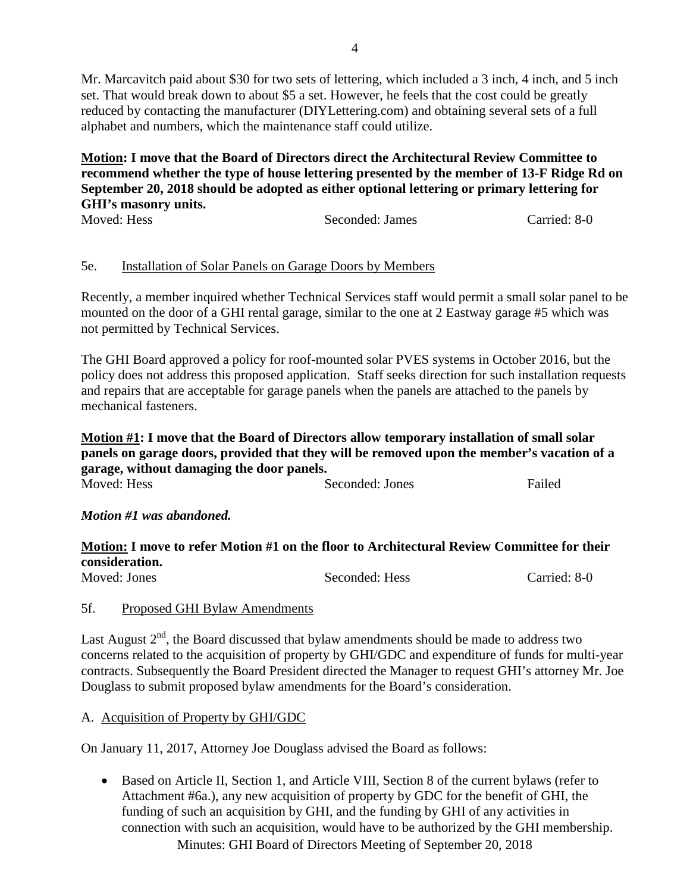Mr. Marcavitch paid about \$30 for two sets of lettering, which included a 3 inch, 4 inch, and 5 inch set. That would break down to about \$5 a set. However, he feels that the cost could be greatly reduced by contacting the manufacturer (DIYLettering.com) and obtaining several sets of a full alphabet and numbers, which the maintenance staff could utilize.

**Motion: I move that the Board of Directors direct the Architectural Review Committee to recommend whether the type of house lettering presented by the member of 13-F Ridge Rd on September 20, 2018 should be adopted as either optional lettering or primary lettering for GHI's masonry units.** 

| Moved: Hess | Seconded: James | Carried: 8-0 |
|-------------|-----------------|--------------|

# 5e. Installation of Solar Panels on Garage Doors by Members

Recently, a member inquired whether Technical Services staff would permit a small solar panel to be mounted on the door of a GHI rental garage, similar to the one at 2 Eastway garage #5 which was not permitted by Technical Services.

The GHI Board approved a policy for roof-mounted solar PVES systems in October 2016, but the policy does not address this proposed application. Staff seeks direction for such installation requests and repairs that are acceptable for garage panels when the panels are attached to the panels by mechanical fasteners.

**Motion #1: I move that the Board of Directors allow temporary installation of small solar panels on garage doors, provided that they will be removed upon the member's vacation of a garage, without damaging the door panels.** Seconded: Jones Failed

# *Motion #1 was abandoned.*

#### **Motion: I move to refer Motion #1 on the floor to Architectural Review Committee for their consideration.**<br>Moved: Jones Seconded: Hess Carried: 8-0

#### 5f. Proposed GHI Bylaw Amendments

Last August  $2<sup>nd</sup>$ , the Board discussed that bylaw amendments should be made to address two concerns related to the acquisition of property by GHI/GDC and expenditure of funds for multi-year contracts. Subsequently the Board President directed the Manager to request GHI's attorney Mr. Joe Douglass to submit proposed bylaw amendments for the Board's consideration.

#### A. Acquisition of Property by GHI/GDC

On January 11, 2017, Attorney Joe Douglass advised the Board as follows:

Minutes: GHI Board of Directors Meeting of September 20, 2018 • Based on Article II, Section 1, and Article VIII, Section 8 of the current bylaws (refer to Attachment #6a.), any new acquisition of property by GDC for the benefit of GHI, the funding of such an acquisition by GHI, and the funding by GHI of any activities in connection with such an acquisition, would have to be authorized by the GHI membership.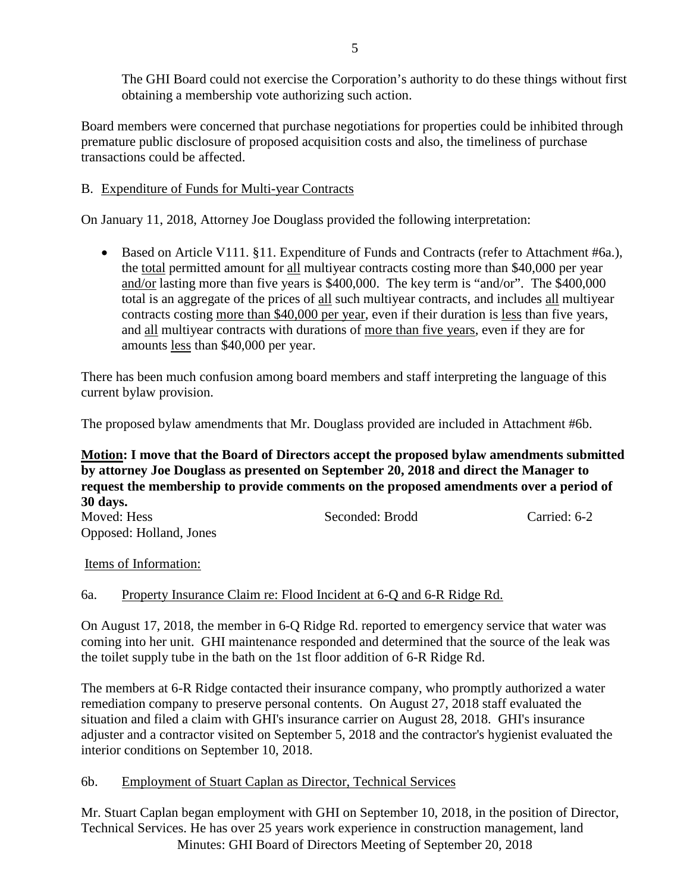The GHI Board could not exercise the Corporation's authority to do these things without first obtaining a membership vote authorizing such action.

Board members were concerned that purchase negotiations for properties could be inhibited through premature public disclosure of proposed acquisition costs and also, the timeliness of purchase transactions could be affected.

# B. Expenditure of Funds for Multi-year Contracts

On January 11, 2018, Attorney Joe Douglass provided the following interpretation:

• Based on Article V111. §11. Expenditure of Funds and Contracts (refer to Attachment #6a.), the total permitted amount for all multiyear contracts costing more than \$40,000 per year and/or lasting more than five years is \$400,000. The key term is "and/or". The \$400,000 total is an aggregate of the prices of all such multiyear contracts, and includes all multiyear contracts costing more than \$40,000 per year, even if their duration is less than five years, and all multiyear contracts with durations of more than five years, even if they are for amounts less than \$40,000 per year.

There has been much confusion among board members and staff interpreting the language of this current bylaw provision.

The proposed bylaw amendments that Mr. Douglass provided are included in Attachment #6b.

# **Motion: I move that the Board of Directors accept the proposed bylaw amendments submitted by attorney Joe Douglass as presented on September 20, 2018 and direct the Manager to request the membership to provide comments on the proposed amendments over a period of 30 days.**

| Moved: Hess             | Seconded: Brodd | Carried: 6-2 |
|-------------------------|-----------------|--------------|
| Opposed: Holland, Jones |                 |              |

# Items of Information:

# 6a. Property Insurance Claim re: Flood Incident at 6-Q and 6-R Ridge Rd.

On August 17, 2018, the member in 6-Q Ridge Rd. reported to emergency service that water was coming into her unit. GHI maintenance responded and determined that the source of the leak was the toilet supply tube in the bath on the 1st floor addition of 6-R Ridge Rd.

The members at 6-R Ridge contacted their insurance company, who promptly authorized a water remediation company to preserve personal contents. On August 27, 2018 staff evaluated the situation and filed a claim with GHI's insurance carrier on August 28, 2018. GHI's insurance adjuster and a contractor visited on September 5, 2018 and the contractor's hygienist evaluated the interior conditions on September 10, 2018.

# 6b. Employment of Stuart Caplan as Director, Technical Services

Minutes: GHI Board of Directors Meeting of September 20, 2018 Mr. Stuart Caplan began employment with GHI on September 10, 2018, in the position of Director, Technical Services. He has over 25 years work experience in construction management, land